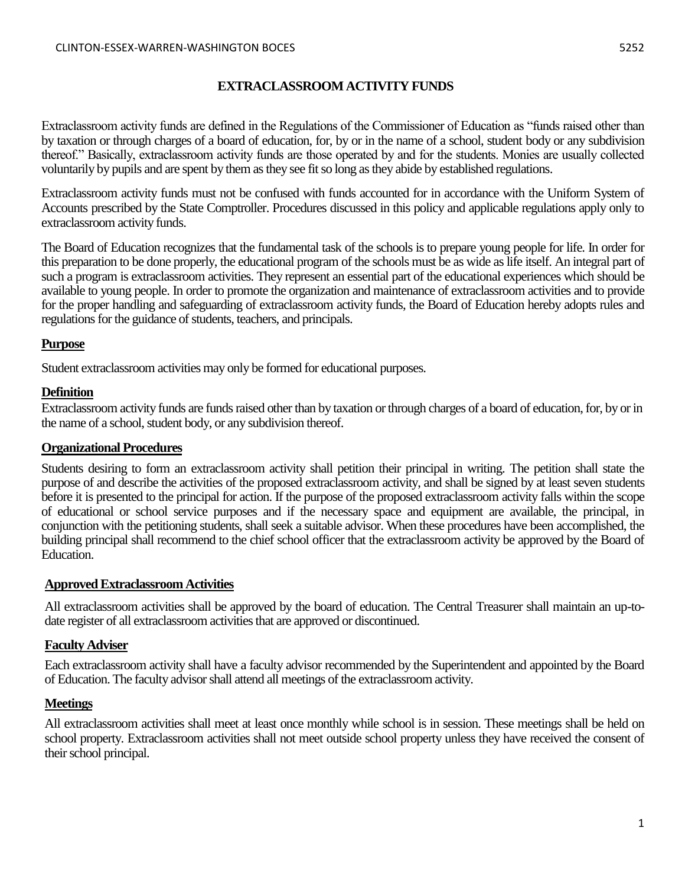### **EXTRACLASSROOM ACTIVITY FUNDS**

Extraclassroom activity funds are defined in the Regulations of the Commissioner of Education as "funds raised other than by taxation or through charges of a board of education, for, by or in the name of a school, student body or any subdivision thereof." Basically, extraclassroom activity funds are those operated by and for the students. Monies are usually collected voluntarily by pupils and are spent by them as they see fit so long as they abide by established regulations.

Extraclassroom activity funds must not be confused with funds accounted for in accordance with the Uniform System of Accounts prescribed by the State Comptroller. Procedures discussed in this policy and applicable regulations apply only to extraclassroom activity funds.

The Board of Education recognizes that the fundamental task of the schools is to prepare young people for life. In order for this preparation to be done properly, the educational program of the schools must be as wide as life itself. An integral part of such a program is extraclassroom activities. They represent an essential part of the educational experiences which should be available to young people. In order to promote the organization and maintenance of extraclassroom activities and to provide for the proper handling and safeguarding of extraclassroom activity funds, the Board of Education hereby adopts rules and regulations for the guidance of students, teachers, and principals.

### **Purpose**

Student extraclassroom activities may only be formed for educational purposes.

### **Definition**

Extraclassroom activity funds are funds raised other than by taxation or through charges of a board of education, for, by or in the name of a school, student body, or any subdivision thereof.

### **Organizational Procedures**

Students desiring to form an extraclassroom activity shall petition their principal in writing. The petition shall state the purpose of and describe the activities of the proposed extraclassroom activity, and shall be signed by at least seven students before it is presented to the principal for action. If the purpose of the proposed extraclassroom activity falls within the scope of educational or school service purposes and if the necessary space and equipment are available, the principal, in conjunction with the petitioning students, shall seek a suitable advisor. When these procedures have been accomplished, the building principal shall recommend to the chief school officer that the extraclassroom activity be approved by the Board of Education.

## **Approved Extraclassroom Activities**

All extraclassroom activities shall be approved by the board of education. The Central Treasurer shall maintain an up-todate register of all extraclassroom activities that are approved or discontinued.

## **Faculty Adviser**

Each extraclassroom activity shall have a faculty advisor recommended by the Superintendent and appointed by the Board of Education. The faculty advisor shall attend all meetings of the extraclassroom activity.

## **Meetings**

All extraclassroom activities shall meet at least once monthly while school is in session. These meetings shall be held on school property. Extraclassroom activities shall not meet outside school property unless they have received the consent of their school principal.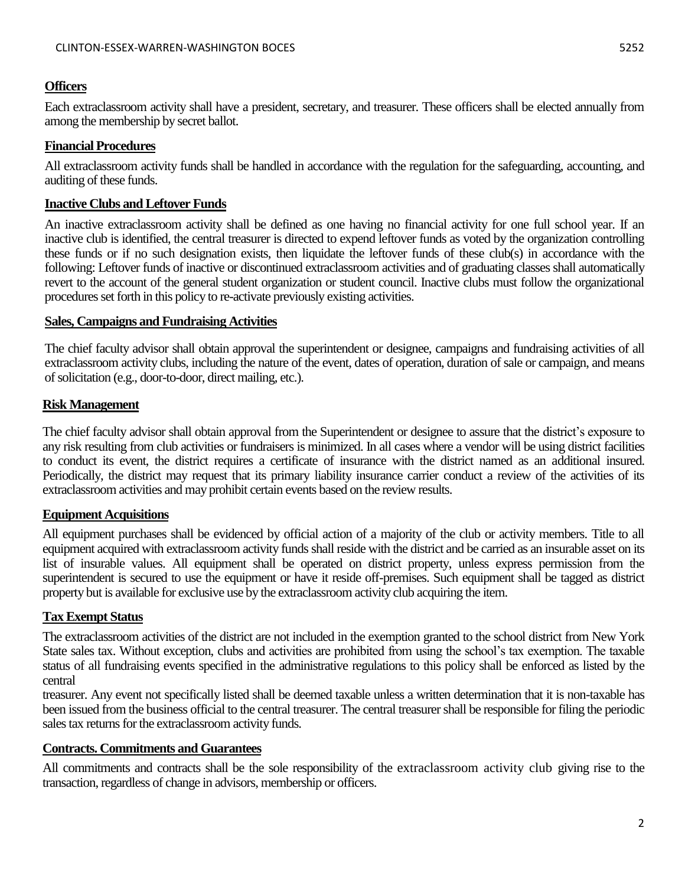### **Officers**

Each extraclassroom activity shall have a president, secretary, and treasurer. These officers shall be elected annually from among the membership by secret ballot.

### **Financial Procedures**

All extraclassroom activity funds shall be handled in accordance with the regulation for the safeguarding, accounting, and auditing of these funds.

### **Inactive Clubs and Leftover Funds**

An inactive extraclassroom activity shall be defined as one having no financial activity for one full school year. If an inactive club is identified, the central treasurer is directed to expend leftover funds as voted by the organization controlling these funds or if no such designation exists, then liquidate the leftover funds of these club(s) in accordance with the following: Leftover funds of inactive or discontinued extraclassroom activities and of graduating classes shall automatically revert to the account of the general student organization or student council. Inactive clubs must follow the organizational procedures set forth in this policy to re-activate previously existing activities.

### **Sales, Campaigns and Fundraising Activities**

The chief faculty advisor shall obtain approval the superintendent or designee, campaigns and fundraising activities of all extraclassroom activity clubs, including the nature of the event, dates of operation, duration of sale or campaign, and means of solicitation (e.g., door-to-door, direct mailing, etc.).

### **Risk Management**

The chief faculty advisor shall obtain approval from the Superintendent or designee to assure that the district's exposure to any risk resulting from club activities or fundraisers is minimized. In all cases where a vendor will be using district facilities to conduct its event, the district requires a certificate of insurance with the district named as an additional insured. Periodically, the district may request that its primary liability insurance carrier conduct a review of the activities of its extraclassroom activities and may prohibit certain events based on the review results.

### **Equipment Acquisitions**

All equipment purchases shall be evidenced by official action of a majority of the club or activity members. Title to all equipment acquired with extraclassroom activity funds shall reside with the district and be carried as an insurable asset on its list of insurable values. All equipment shall be operated on district property, unless express permission from the superintendent is secured to use the equipment or have it reside off-premises. Such equipment shall be tagged as district property but is available for exclusive use by the extraclassroom activity club acquiring the item.

### **Tax Exempt Status**

The extraclassroom activities of the district are not included in the exemption granted to the school district from New York State sales tax. Without exception, clubs and activities are prohibited from using the school's tax exemption. The taxable status of all fundraising events specified in the administrative regulations to this policy shall be enforced as listed by the central

treasurer. Any event not specifically listed shall be deemed taxable unless a written determination that it is non-taxable has been issued from the business official to the central treasurer. The central treasurer shall be responsible for filing the periodic sales tax returns for the extraclassroom activity funds.

### **Contracts. Commitments and Guarantees**

All commitments and contracts shall be the sole responsibility of the extraclassroom activity club giving rise to the transaction, regardless of change in advisors, membership or officers.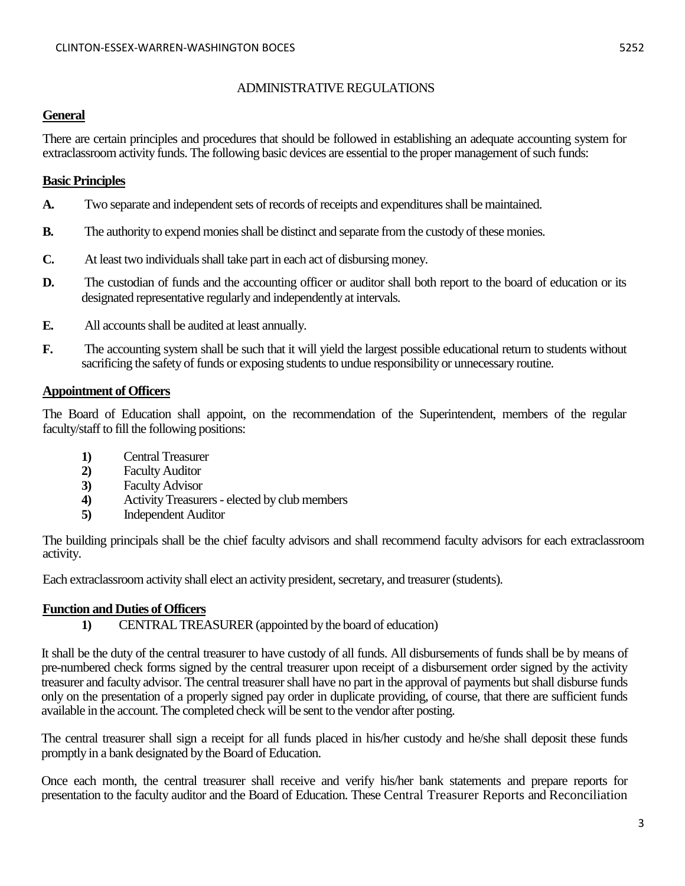#### ADMINISTRATIVE REGULATIONS

### **General**

There are certain principles and procedures that should be followed in establishing an adequate accounting system for extraclassroom activity funds. The following basic devices are essential to the proper management of such funds:

#### **Basic Principles**

- **A.** Two separate and independent sets of records of receipts and expenditures shall be maintained.
- **B.** The authority to expend monies shall be distinct and separate from the custody of these monies.
- **C.** At least two individuals shall take part in each act of disbursing money.
- **D.** The custodian of funds and the accounting officer or auditor shall both report to the board of education or its designated representative regularly and independently at intervals.
- **E.** All accounts shall be audited at least annually.
- **F.** The accounting system shall be such that it will yield the largest possible educational return to students without sacrificing the safety of funds or exposing students to undue responsibility or unnecessary routine.

#### **Appointment of Officers**

The Board of Education shall appoint, on the recommendation of the Superintendent, members of the regular faculty/staff to fill the following positions:

- **1)** Central Treasurer
- **2)** Faculty Auditor
- **3)** Faculty Advisor
- **4)** Activity Treasurers elected by club members
- **5)** Independent Auditor

The building principals shall be the chief faculty advisors and shall recommend faculty advisors for each extraclassroom activity.

Each extraclassroom activity shall elect an activity president, secretary, and treasurer (students).

### **Function and Duties of Officers**

**1)** CENTRAL TREASURER (appointed by the board of education)

It shall be the duty of the central treasurer to have custody of all funds. All disbursements of funds shall be by means of pre-numbered check forms signed by the central treasurer upon receipt of a disbursement order signed by the activity treasurer and faculty advisor. The central treasurer shall have no part in the approval of payments but shall disburse funds only on the presentation of a properly signed pay order in duplicate providing, of course, that there are sufficient funds available in the account. The completed check will be sent to the vendor after posting.

The central treasurer shall sign a receipt for all funds placed in his/her custody and he/she shall deposit these funds promptly in a bank designated by the Board of Education.

Once each month, the central treasurer shall receive and verify his/her bank statements and prepare reports for presentation to the faculty auditor and the Board of Education. These Central Treasurer Reports and Reconciliation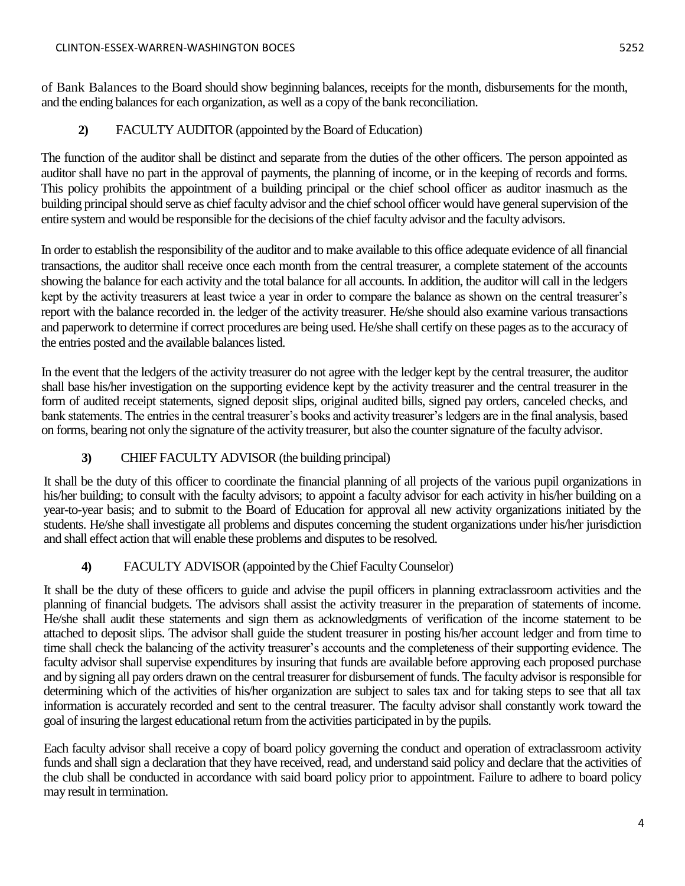of Bank Balances to the Board should show beginning balances, receipts for the month, disbursements for the month, and the ending balances for each organization, as well as a copy of the bank reconciliation.

**2)** FACULTY AUDITOR (appointed by the Board of Education)

The function of the auditor shall be distinct and separate from the duties of the other officers. The person appointed as auditor shall have no part in the approval of payments, the planning of income, or in the keeping of records and forms. This policy prohibits the appointment of a building principal or the chief school officer as auditor inasmuch as the building principal should serve as chief faculty advisor and the chief school officer would have general supervision of the entire system and would be responsible for the decisions of the chief faculty advisor and the faculty advisors.

In order to establish the responsibility of the auditor and to make available to this office adequate evidence of all financial transactions, the auditor shall receive once each month from the central treasurer, a complete statement of the accounts showing the balance for each activity and the total balance for all accounts. In addition, the auditor will call in the ledgers kept by the activity treasurers at least twice a year in order to compare the balance as shown on the central treasurer's report with the balance recorded in. the ledger of the activity treasurer. He/she should also examine various transactions and paperwork to determine if correct procedures are being used. He/she shall certify on these pages as to the accuracy of the entries posted and the available balances listed.

In the event that the ledgers of the activity treasurer do not agree with the ledger kept by the central treasurer, the auditor shall base his/her investigation on the supporting evidence kept by the activity treasurer and the central treasurer in the form of audited receipt statements, signed deposit slips, original audited bills, signed pay orders, canceled checks, and bank statements. The entries in the central treasurer's books and activity treasurer's ledgers are in the final analysis, based on forms, bearing not only the signature of the activity treasurer, but also the counter signature of the faculty advisor.

# **3)** CHIEF FACULTY ADVISOR (the building principal)

It shall be the duty of this officer to coordinate the financial planning of all projects of the various pupil organizations in his/her building; to consult with the faculty advisors; to appoint a faculty advisor for each activity in his/her building on a year-to-year basis; and to submit to the Board of Education for approval all new activity organizations initiated by the students. He/she shall investigate all problems and disputes concerning the student organizations under his/her jurisdiction and shall effect action that will enable these problems and disputes to be resolved.

# **4)** FACULTY ADVISOR (appointed by the Chief Faculty Counselor)

It shall be the duty of these officers to guide and advise the pupil officers in planning extraclassroom activities and the planning of financial budgets. The advisors shall assist the activity treasurer in the preparation of statements of income. He/she shall audit these statements and sign them as acknowledgments of verification of the income statement to be attached to deposit slips. The advisor shall guide the student treasurer in posting his/her account ledger and from time to time shall check the balancing of the activity treasurer's accounts and the completeness of their supporting evidence. The faculty advisor shall supervise expenditures by insuring that funds are available before approving each proposed purchase and by signing all pay orders drawn on the central treasurer for disbursement of funds. The faculty advisor is responsible for determining which of the activities of his/her organization are subject to sales tax and for taking steps to see that all tax information is accurately recorded and sent to the central treasurer. The faculty advisor shall constantly work toward the goal of insuring the largest educational return from the activities participated in by the pupils.

Each faculty advisor shall receive a copy of board policy governing the conduct and operation of extraclassroom activity funds and shall sign a declaration that they have received, read, and understand said policy and declare that the activities of the club shall be conducted in accordance with said board policy prior to appointment. Failure to adhere to board policy may result in termination.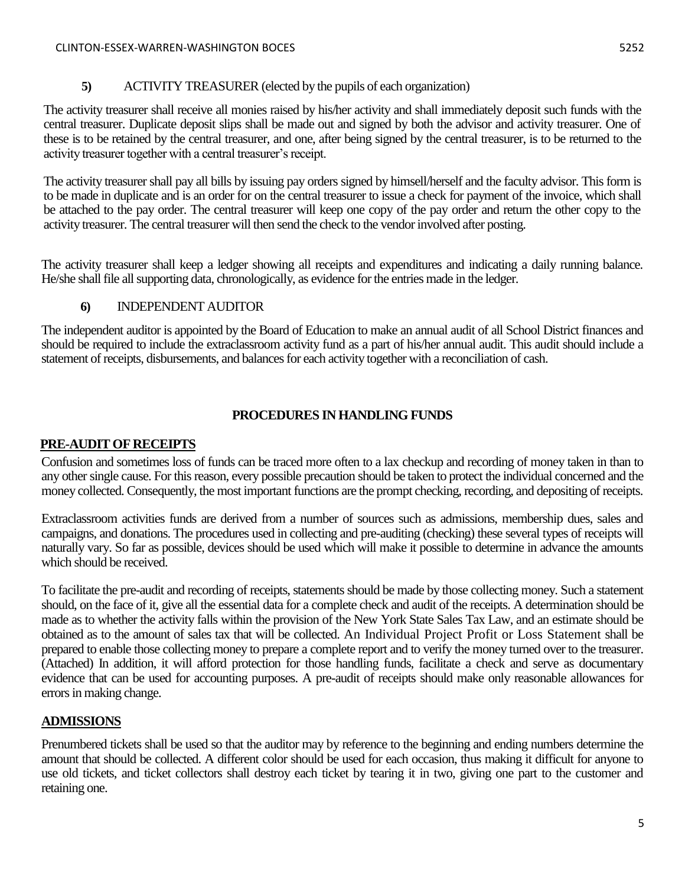## **5)** ACTIVITY TREASURER (elected by the pupils of each organization)

The activity treasurer shall receive all monies raised by his/her activity and shall immediately deposit such funds with the central treasurer. Duplicate deposit slips shall be made out and signed by both the advisor and activity treasurer. One of these is to be retained by the central treasurer, and one, after being signed by the central treasurer, is to be returned to the activity treasurer together with a central treasurer's receipt.

The activity treasurer shall pay all bills by issuing pay orders signed by himsell/herself and the faculty advisor. This form is to be made in duplicate and is an order for on the central treasurer to issue a check for payment of the invoice, which shall be attached to the pay order. The central treasurer will keep one copy of the pay order and return the other copy to the activity treasurer. The central treasurer will then send the check to the vendor involved after posting.

The activity treasurer shall keep a ledger showing all receipts and expenditures and indicating a daily running balance. He/she shall file all supporting data, chronologically, as evidence for the entries made in the ledger.

# **6)** INDEPENDENT AUDITOR

The independent auditor is appointed by the Board of Education to make an annual audit of all School District finances and should be required to include the extraclassroom activity fund as a part of his/her annual audit. This audit should include a statement of receipts, disbursements, and balances for each activity together with a reconciliation of cash.

# **PROCEDURES IN HANDLING FUNDS**

## **PRE-AUDIT OF RECEIPTS**

Confusion and sometimes loss of funds can be traced more often to a lax checkup and recording of money taken in than to any other single cause. For this reason, every possible precaution should be taken to protect the individual concerned and the money collected. Consequently, the most important functions are the prompt checking, recording, and depositing of receipts.

Extraclassroom activities funds are derived from a number of sources such as admissions, membership dues, sales and campaigns, and donations. The procedures used in collecting and pre-auditing (checking) these several types of receipts will naturally vary. So far as possible, devices should be used which will make it possible to determine in advance the amounts which should be received.

To facilitate the pre-audit and recording of receipts, statements should be made by those collecting money. Such a statement should, on the face of it, give all the essential data for a complete check and audit of the receipts. A determination should be made as to whether the activity falls within the provision of the New York State Sales Tax Law, and an estimate should be obtained as to the amount of sales tax that will be collected. An Individual Project Profit or Loss Statement shall be prepared to enable those collecting money to prepare a complete report and to verify the money turned over to the treasurer. (Attached) In addition, it will afford protection for those handling funds, facilitate a check and serve as documentary evidence that can be used for accounting purposes. A pre-audit of receipts should make only reasonable allowances for errors in making change.

# **ADMISSIONS**

Prenumbered tickets shall be used so that the auditor may by reference to the beginning and ending numbers determine the amount that should be collected. A different color should be used for each occasion, thus making it difficult for anyone to use old tickets, and ticket collectors shall destroy each ticket by tearing it in two, giving one part to the customer and retaining one.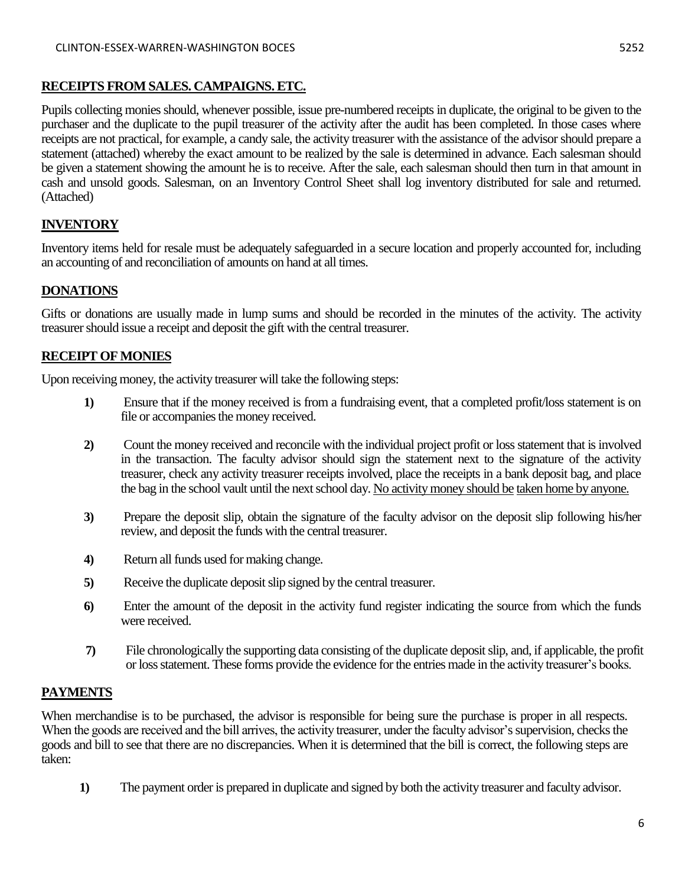### **RECEIPTS FROM SALES. CAMPAIGNS. ETC.**

Pupils collecting monies should, whenever possible, issue pre-numbered receipts in duplicate, the original to be given to the purchaser and the duplicate to the pupil treasurer of the activity after the audit has been completed. In those cases where receipts are not practical, for example, a candy sale, the activity treasurer with the assistance of the advisor should prepare a statement (attached) whereby the exact amount to be realized by the sale is determined in advance. Each salesman should be given a statement showing the amount he is to receive. After the sale, each salesman should then turn in that amount in cash and unsold goods. Salesman, on an Inventory Control Sheet shall log inventory distributed for sale and returned. (Attached)

# **INVENTORY**

Inventory items held for resale must be adequately safeguarded in a secure location and properly accounted for, including an accounting of and reconciliation of amounts on hand at all times.

## **DONATIONS**

Gifts or donations are usually made in lump sums and should be recorded in the minutes of the activity. The activity treasurer should issue a receipt and deposit the gift with the central treasurer.

### **RECEIPT OF MONIES**

Upon receiving money, the activity treasurer will take the following steps:

- **1)** Ensure that if the money received is from a fundraising event, that a completed profit/loss statement is on file or accompanies the money received.
- **2)** Count the money received and reconcile with the individual project profit or loss statement that is involved in the transaction. The faculty advisor should sign the statement next to the signature of the activity treasurer, check any activity treasurer receipts involved, place the receipts in a bank deposit bag, and place the bag in the school vault until the next school day. No activity money should be taken home by anyone.
- **3)** Prepare the deposit slip, obtain the signature of the faculty advisor on the deposit slip following his/her review, and deposit the funds with the central treasurer.
- **4)** Return all funds used for making change.
- **5)** Receive the duplicate deposit slip signed by the central treasurer.
- **6)** Enter the amount of the deposit in the activity fund register indicating the source from which the funds were received.
- **7)** File chronologically the supporting data consisting of the duplicate deposit slip, and, if applicable, the profit or loss statement. These forms provide the evidence for the entries made in the activity treasurer's books.

### **PAYMENTS**

When merchandise is to be purchased, the advisor is responsible for being sure the purchase is proper in all respects. When the goods are received and the bill arrives, the activity treasurer, under the faculty advisor's supervision, checks the goods and bill to see that there are no discrepancies. When it is determined that the bill is correct, the following steps are taken:

**1)** The payment order is prepared in duplicate and signed by both the activity treasurer and faculty advisor.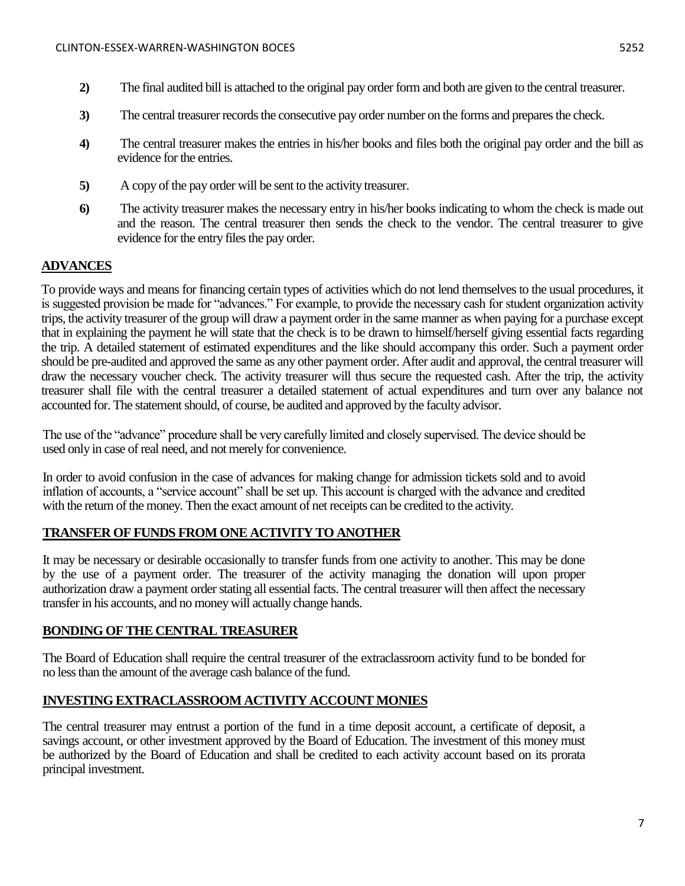- **2)** The final audited bill is attached to the original pay order form and both are given to the central treasurer.
- **3)** The central treasurer records the consecutive pay order number on the forms and prepares the check.
- **4)** The central treasurer makes the entries in his/her books and files both the original pay order and the bill as evidence for the entries.
- **5)** A copy of the pay order will be sent to the activity treasurer.
- **6)** The activity treasurer makes the necessary entry in his/her books indicating to whom the check is made out and the reason. The central treasurer then sends the check to the vendor. The central treasurer to give evidence for the entry files the pay order.

# **ADVANCES**

To provide ways and means for financing certain types of activities which do not lend themselves to the usual procedures, it is suggested provision be made for "advances." For example, to provide the necessary cash for student organization activity trips, the activity treasurer of the group will draw a payment order in the same manner as when paying for a purchase except that in explaining the payment he will state that the check is to be drawn to himself/herself giving essential facts regarding the trip. A detailed statement of estimated expenditures and the like should accompany this order. Such a payment order should be pre-audited and approved the same as any other payment order. After audit and approval, the central treasurer will draw the necessary voucher check. The activity treasurer will thus secure the requested cash. After the trip, the activity treasurer shall file with the central treasurer a detailed statement of actual expenditures and turn over any balance not accounted for. The statement should, of course, be audited and approved by the faculty advisor.

The use of the "advance" procedure shall be very carefully limited and closely supervised. The device should be used only in case of real need, and not merely for convenience.

In order to avoid confusion in the case of advances for making change for admission tickets sold and to avoid inflation of accounts, a "service account" shall be set up. This account is charged with the advance and credited with the return of the money. Then the exact amount of net receipts can be credited to the activity.

## **TRANSFER OF FUNDS FROM ONE ACTIVITY TO ANOTHER**

It may be necessary or desirable occasionally to transfer funds from one activity to another. This may be done by the use of a payment order. The treasurer of the activity managing the donation will upon proper authorization draw a payment order stating all essential facts. The central treasurer will then affect the necessary transfer in his accounts, and no money will actually change hands.

## **BONDING OF THE CENTRAL TREASURER**

The Board of Education shall require the central treasurer of the extraclassroom activity fund to be bonded for no less than the amount of the average cash balance of the fund.

## **INVESTING EXTRACLASSROOM ACTIVITY ACCOUNT MONIES**

The central treasurer may entrust a portion of the fund in a time deposit account, a certificate of deposit, a savings account, or other investment approved by the Board of Education. The investment of this money must be authorized by the Board of Education and shall be credited to each activity account based on its prorata principal investment.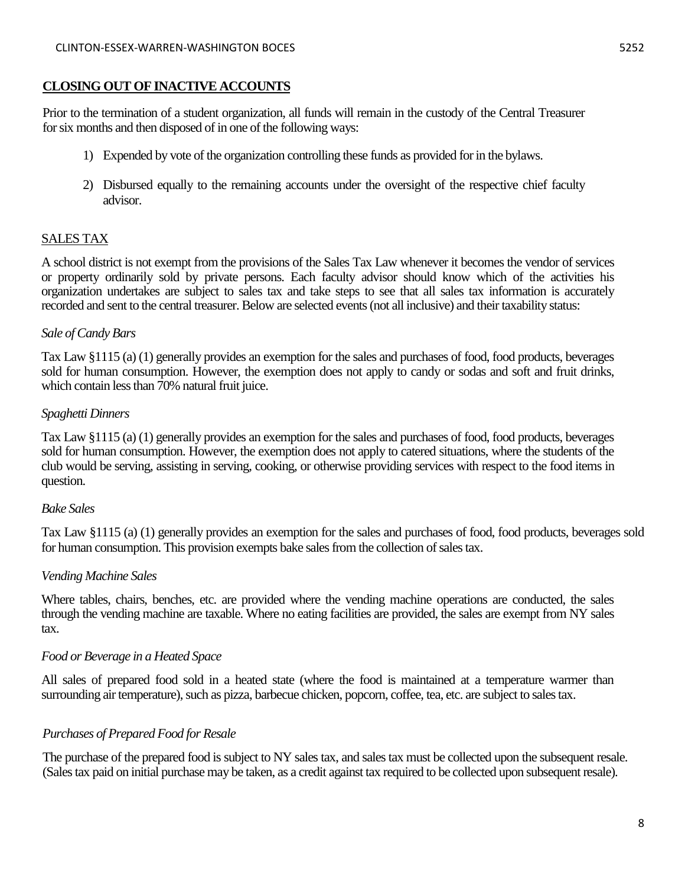### **CLOSING OUT OF INACTIVE ACCOUNTS**

Prior to the termination of a student organization, all funds will remain in the custody of the Central Treasurer for six months and then disposed of in one of the following ways:

- 1) Expended by vote of the organization controlling these funds as provided for in the bylaws.
- 2) Disbursed equally to the remaining accounts under the oversight of the respective chief faculty advisor.

### SALES TAX

A school district is not exempt from the provisions of the Sales Tax Law whenever it becomes the vendor of services or property ordinarily sold by private persons. Each faculty advisor should know which of the activities his organization undertakes are subject to sales tax and take steps to see that all sales tax information is accurately recorded and sent to the central treasurer. Below are selected events (not all inclusive) and their taxability status:

### *Sale of Candy Bars*

Tax Law §1115 (a) (1) generally provides an exemption for the sales and purchases of food, food products, beverages sold for human consumption. However, the exemption does not apply to candy or sodas and soft and fruit drinks, which contain less than 70% natural fruit juice.

#### *Spaghetti Dinners*

Tax Law §1115 (a) (1) generally provides an exemption for the sales and purchases of food, food products, beverages sold for human consumption. However, the exemption does not apply to catered situations, where the students of the club would be serving, assisting in serving, cooking, or otherwise providing services with respect to the food items in question.

### *Bake Sales*

Tax Law §1115 (a) (1) generally provides an exemption for the sales and purchases of food, food products, beverages sold for human consumption. This provision exempts bake sales from the collection of sales tax.

### *Vending Machine Sales*

Where tables, chairs, benches, etc. are provided where the vending machine operations are conducted, the sales through the vending machine are taxable. Where no eating facilities are provided, the sales are exempt from NY sales tax.

### *Food or Beverage in a Heated Space*

All sales of prepared food sold in a heated state (where the food is maintained at a temperature warmer than surrounding air temperature), such as pizza, barbecue chicken, popcorn, coffee, tea, etc. are subject to sales tax.

### *Purchases of Prepared Food for Resale*

The purchase of the prepared food is subject to NY sales tax, and sales tax must be collected upon the subsequent resale. (Sales tax paid on initial purchase may be taken, as a credit against tax required to be collected upon subsequent resale).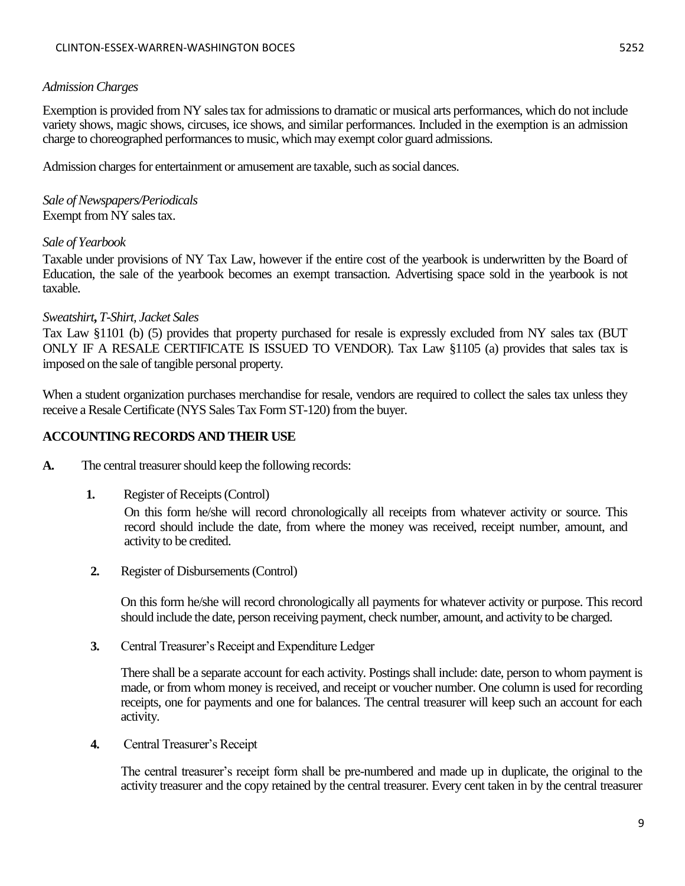### *Admission Charges*

Exemption is provided from NY sales tax for admissions to dramatic or musical arts performances, which do not include variety shows, magic shows, circuses, ice shows, and similar performances. Included in the exemption is an admission charge to choreographed performances to music, which may exempt color guard admissions.

Admission charges for entertainment or amusement are taxable, such as social dances.

*Sale of Newspapers/Periodicals*  Exempt from NY sales tax.

### *Sale of Yearbook*

Taxable under provisions of NY Tax Law, however if the entire cost of the yearbook is underwritten by the Board of Education, the sale of the yearbook becomes an exempt transaction. Advertising space sold in the yearbook is not taxable.

### *Sweatshirt***,** *T-Shirt, Jacket Sales*

Tax Law §1101 (b) (5) provides that property purchased for resale is expressly excluded from NY sales tax (BUT ONLY IF A RESALE CERTIFICATE IS ISSUED TO VENDOR). Tax Law §1105 (a) provides that sales tax is imposed on the sale of tangible personal property.

When a student organization purchases merchandise for resale, vendors are required to collect the sales tax unless they receive a Resale Certificate (NYS Sales Tax Form ST-120) from the buyer.

### **ACCOUNTING RECORDS AND THEIR USE**

- **A.** The central treasurer should keep the following records:
	- **1.** Register of Receipts (Control)

On this form he/she will record chronologically all receipts from whatever activity or source. This record should include the date, from where the money was received, receipt number, amount, and activity to be credited.

**2.** Register of Disbursements (Control)

On this form he/she will record chronologically all payments for whatever activity or purpose. This record should include the date, person receiving payment, check number, amount, and activity to be charged.

**3.** Central Treasurer's Receipt and Expenditure Ledger

There shall be a separate account for each activity. Postings shall include: date, person to whom payment is made, or from whom money is received, and receipt or voucher number. One column is used for recording receipts, one for payments and one for balances. The central treasurer will keep such an account for each activity.

**4.** Central Treasurer's Receipt

The central treasurer's receipt form shall be pre-numbered and made up in duplicate, the original to the activity treasurer and the copy retained by the central treasurer. Every cent taken in by the central treasurer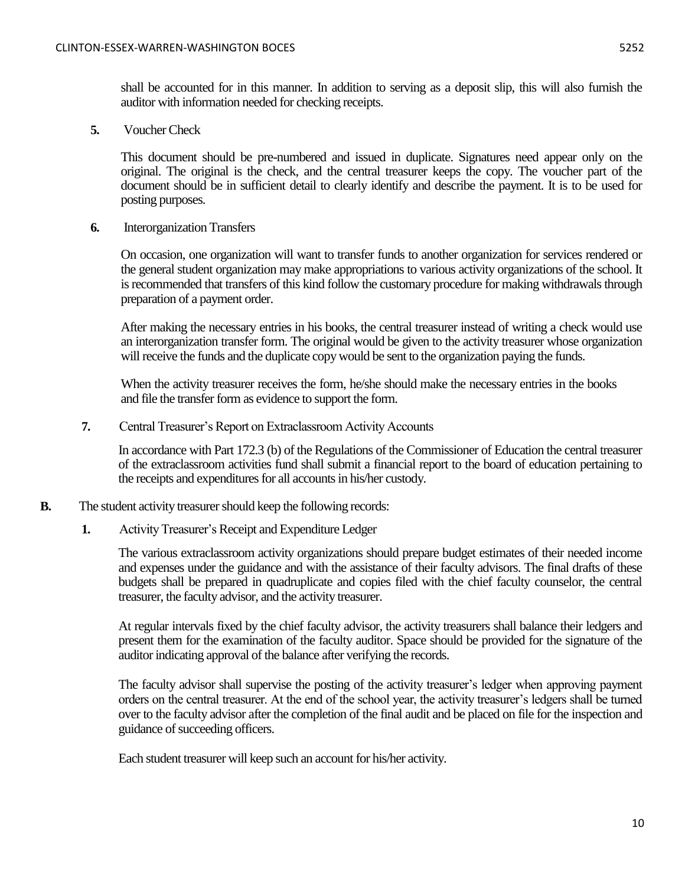shall be accounted for in this manner. In addition to serving as a deposit slip, this will also furnish the auditor with information needed for checking receipts.

**5.** Voucher Check

This document should be pre-numbered and issued in duplicate. Signatures need appear only on the original. The original is the check, and the central treasurer keeps the copy. The voucher part of the document should be in sufficient detail to clearly identify and describe the payment. It is to be used for posting purposes.

**6.** Interorganization Transfers

On occasion, one organization will want to transfer funds to another organization for services rendered or the general student organization may make appropriations to various activity organizations of the school. It is recommended that transfers of this kind follow the customary procedure for making withdrawals through preparation of a payment order.

After making the necessary entries in his books, the central treasurer instead of writing a check would use an interorganization transfer form. The original would be given to the activity treasurer whose organization will receive the funds and the duplicate copy would be sent to the organization paying the funds.

When the activity treasurer receives the form, he/she should make the necessary entries in the books and file the transfer form as evidence to support the form.

**7.** Central Treasurer's Report on Extraclassroom Activity Accounts

In accordance with Part 172.3 (b) of the Regulations of the Commissioner of Education the central treasurer of the extraclassroom activities fund shall submit a financial report to the board of education pertaining to the receipts and expenditures for all accounts in his/her custody.

- **B.** The student activity treasurer should keep the following records:
	- **1.** Activity Treasurer's Receipt and Expenditure Ledger

The various extraclassroom activity organizations should prepare budget estimates of their needed income and expenses under the guidance and with the assistance of their faculty advisors. The final drafts of these budgets shall be prepared in quadruplicate and copies filed with the chief faculty counselor, the central treasurer, the faculty advisor, and the activity treasurer.

At regular intervals fixed by the chief faculty advisor, the activity treasurers shall balance their ledgers and present them for the examination of the faculty auditor. Space should be provided for the signature of the auditor indicating approval of the balance after verifying the records.

The faculty advisor shall supervise the posting of the activity treasurer's ledger when approving payment orders on the central treasurer. At the end of the school year, the activity treasurer's ledgers shall be turned over to the faculty advisor after the completion of the final audit and be placed on file for the inspection and guidance of succeeding officers.

Each student treasurer will keep such an account for his/her activity.